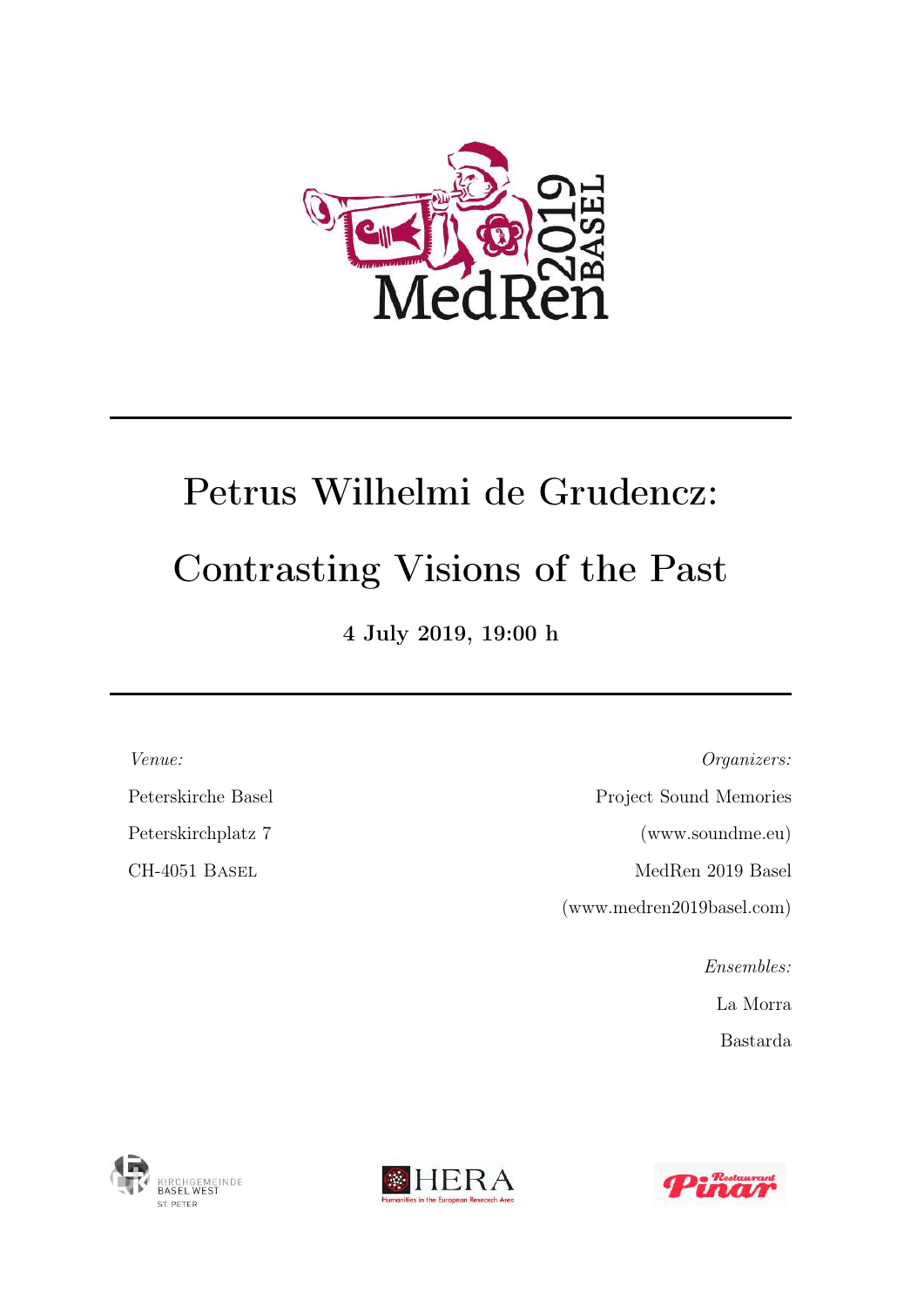

# Petrus Wilhelmi de Grudencz: Contrasting Visions of the Past

4 July 2019, 19:00 h

Venue:

Peterskirche Basel

Peterskirchplatz 7

CH-4051 Basel

Organizers: Project Sound Memories (www.soundme.eu) MedRen 2019 Basel (www.medren2019basel.com)

Ensembles:

La Morra

Bastarda





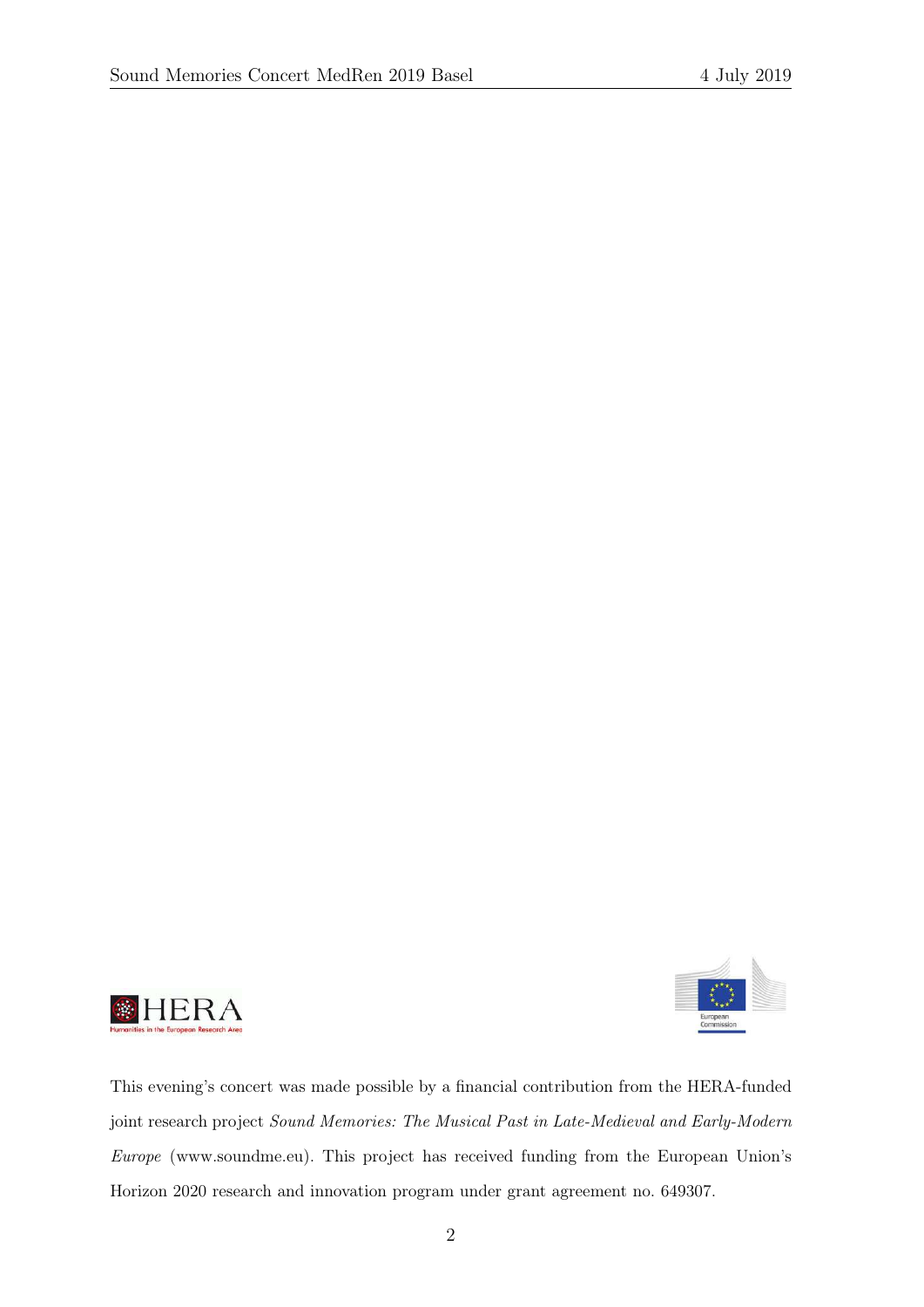



This evening's concert was made possible by a financial contribution from the HERA-funded joint research project Sound Memories: The Musical Past in Late-Medieval and Early-Modern Europe (www.soundme.eu). This project has received funding from the European Union's Horizon 2020 research and innovation program under grant agreement no. 649307.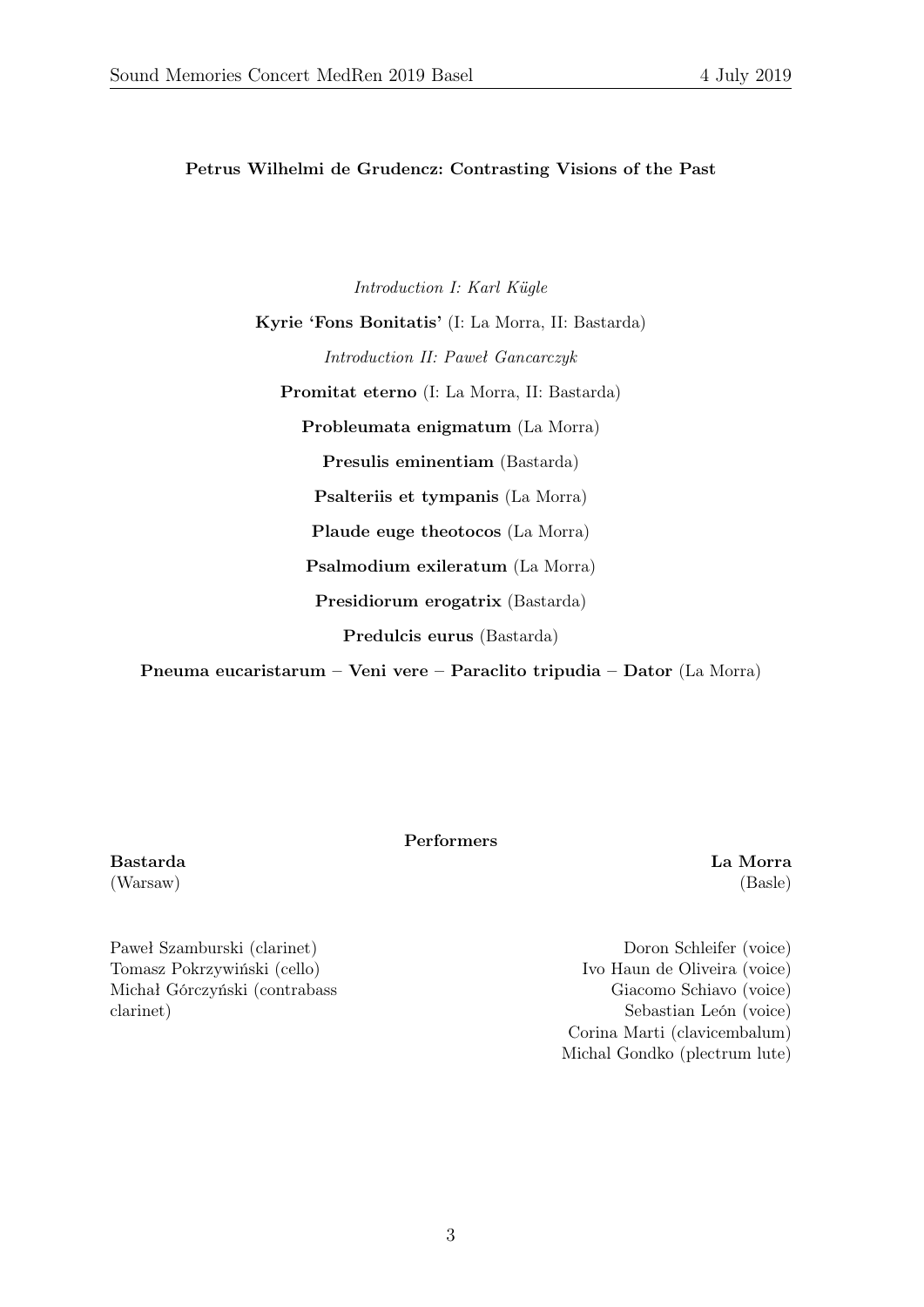Petrus Wilhelmi de Grudencz: Contrasting Visions of the Past

Introduction I: Karl Kügle Kyrie 'Fons Bonitatis' (I: La Morra, II: Bastarda) Introduction II: Paweł Gancarczyk Promitat eterno (I: La Morra, II: Bastarda) Probleumata enigmatum (La Morra) Presulis eminentiam (Bastarda) Psalteriis et tympanis (La Morra) Plaude euge theotocos (La Morra) Psalmodium exileratum (La Morra) Presidiorum erogatrix (Bastarda) Predulcis eurus (Bastarda)

Pneuma eucaristarum – Veni vere – Paraclito tripudia – Dator (La Morra)

Performers

Bastarda (Warsaw)

Paweł Szamburski (clarinet) Tomasz Pokrzywiński (cello) Michał Górczyński (contrabass clarinet)

Doron Schleifer (voice) Ivo Haun de Oliveira (voice) Giacomo Schiavo (voice) Sebastian León (voice) Corina Marti (clavicembalum) Michal Gondko (plectrum lute)

La Morra (Basle)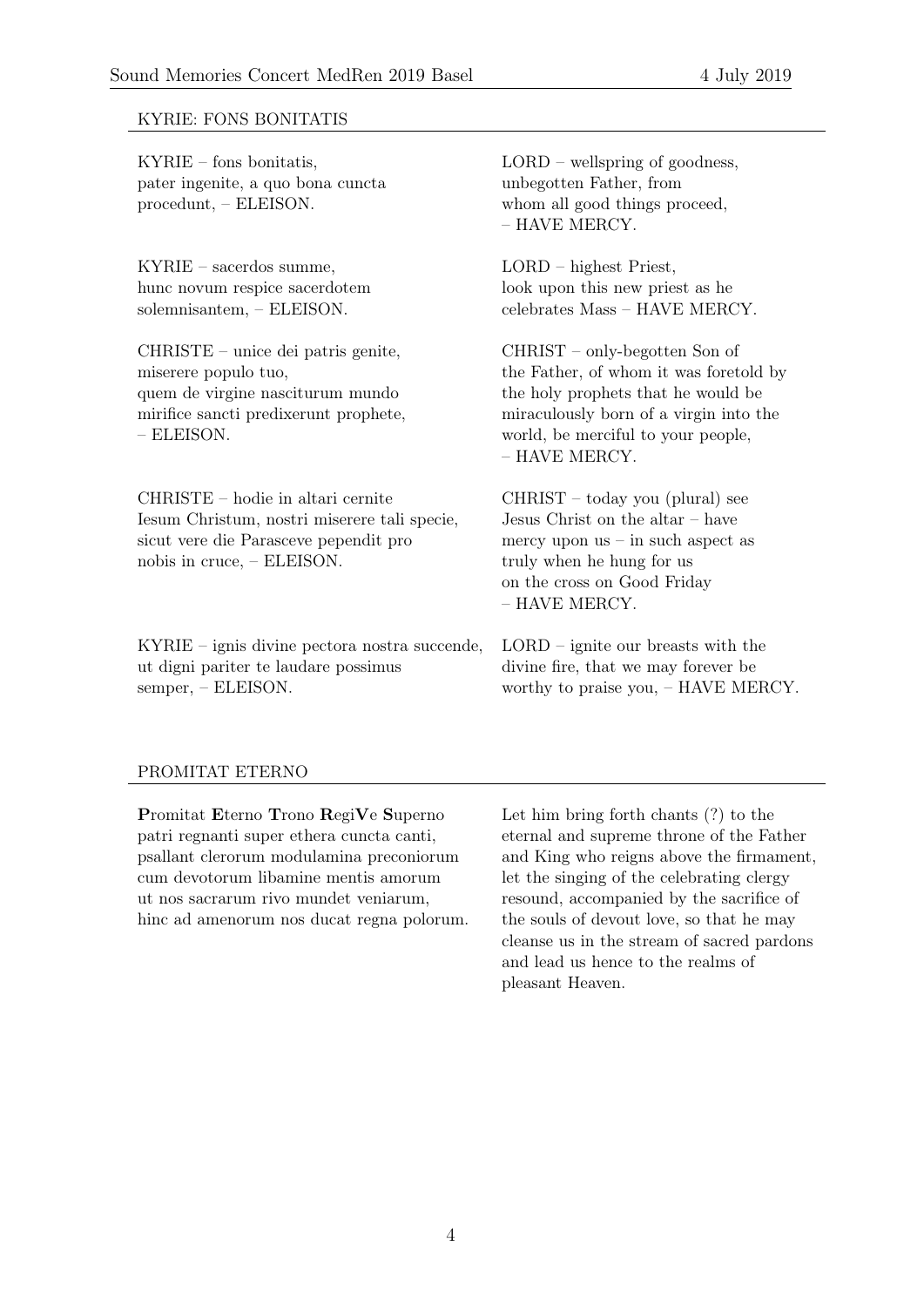## KYRIE: FONS BONITATIS

KYRIE – fons bonitatis,  $LORD -$  wellspring of goodness, pater ingenite, a quo bona cuncta unbegotten Father, from procedunt, – ELEISON. whom all good things proceed,

KYRIE – sacerdos summe, LORD – highest Priest, hunc novum respice sacerdotem look upon this new priest as he

CHRISTE – unice dei patris genite, CHRIST – only-begotten Son of quem de virgine nasciturum mundo the holy prophets that he would be – ELEISON. world, be merciful to your people,

CHRISTE – hodie in altari cernite CHRIST – today you (plural) see Iesum Christum, nostri miserere tali specie, Jesus Christ on the altar – have sicut vere die Parasceve pependit pro mercy upon us – in such aspect as nobis in cruce, – ELEISON. truly when he hung for us

KYRIE – ignis divine pectora nostra succende, LORD – ignite our breasts with the ut digni pariter te laudare possimus divine fire, that we may forever be semper, – ELEISON. worthy to praise you, – HAVE MERCY.

– HAVE MERCY.

solemnisantem, – ELEISON. celebrates Mass – HAVE MERCY.

miserere populo tuo, the Father, of whom it was foretold by mirifice sancti predixerunt prophete, miraculously born of a virgin into the – HAVE MERCY.

> on the cross on Good Friday – HAVE MERCY.

#### PROMITAT ETERNO

Promitat Eterno Trono RegiVe Superno Let him bring forth chants (?) to the patri regnanti super ethera cuncta canti, eternal and supreme throne of the Father psallant clerorum modulamina preconiorum and King who reigns above the firmament, cum devotorum libamine mentis amorum let the singing of the celebrating clergy ut nos sacrarum rivo mundet veniarum, resound, accompanied by the sacrifice of hinc ad amenorum nos ducat regna polorum. the souls of devout love, so that he may

cleanse us in the stream of sacred pardons and lead us hence to the realms of pleasant Heaven.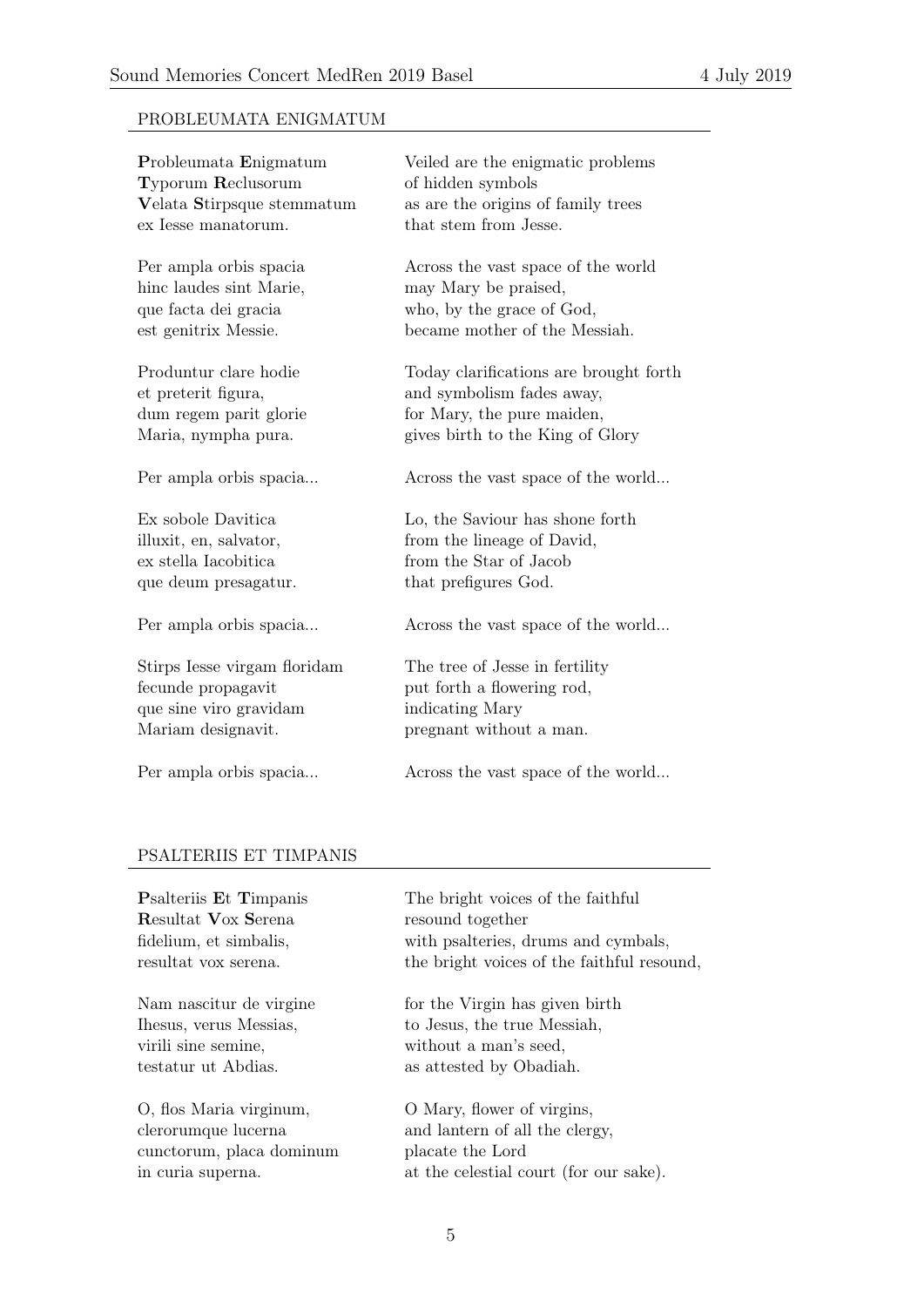# PROBLEUMATA ENIGMATUM

| Probleumata Enigmatum        | Veiled are the enigmatic problems      |
|------------------------------|----------------------------------------|
| <b>Typorum Reclusorum</b>    | of hidden symbols                      |
| Velata Stirpsque stemmatum   | as are the origins of family trees     |
| ex Iesse manatorum.          | that stem from Jesse.                  |
| Per ampla orbis spacia       | Across the vast space of the world     |
| hinc laudes sint Marie,      | may Mary be praised,                   |
| que facta dei gracia         | who, by the grace of God,              |
| est genitrix Messie.         | became mother of the Messiah.          |
| Produntur clare hodie        | Today clarifications are brought forth |
| et preterit figura,          | and symbolism fades away,              |
| dum regem parit glorie       | for Mary, the pure maiden,             |
| Maria, nympha pura.          | gives birth to the King of Glory       |
| Per ampla orbis spacia       | Across the vast space of the world     |
| Ex sobole Davitica           | Lo, the Saviour has shone forth        |
| illuxit, en, salvator,       | from the lineage of David,             |
| ex stella Iacobitica         | from the Star of Jacob                 |
| que deum presagatur.         | that prefigures God.                   |
| Per ampla orbis spacia       | Across the vast space of the world     |
| Stirps Iesse virgam floridam | The tree of Jesse in fertility         |
| fecunde propagavit           | put forth a flowering rod,             |
| que sine viro gravidam       | indicating Mary                        |
| Mariam designavit.           | pregnant without a man.                |
| Per ampla orbis spacia       | Across the vast space of the world     |

# PSALTERIIS ET TIMPANIS

Resultat Vox Serena resound together

virili sine semine, without a man's seed. testatur ut Abdias. as attested by Obadiah.

O, flos Maria virginum, O Mary, flower of virgins, cunctorum, placa dominum placate the Lord

**P**salteriis Et Timpanis The bright voices of the faithful fidelium, et simbalis, with psalteries, drums and cymbals, resultat vox serena. the bright voices of the faithful resound,

Nam nascitur de virgine for the Virgin has given birth Ihesus, verus Messias, to Jesus, the true Messiah,

clerorumque lucerna and lantern of all the clergy, in curia superna. at the celestial court (for our sake).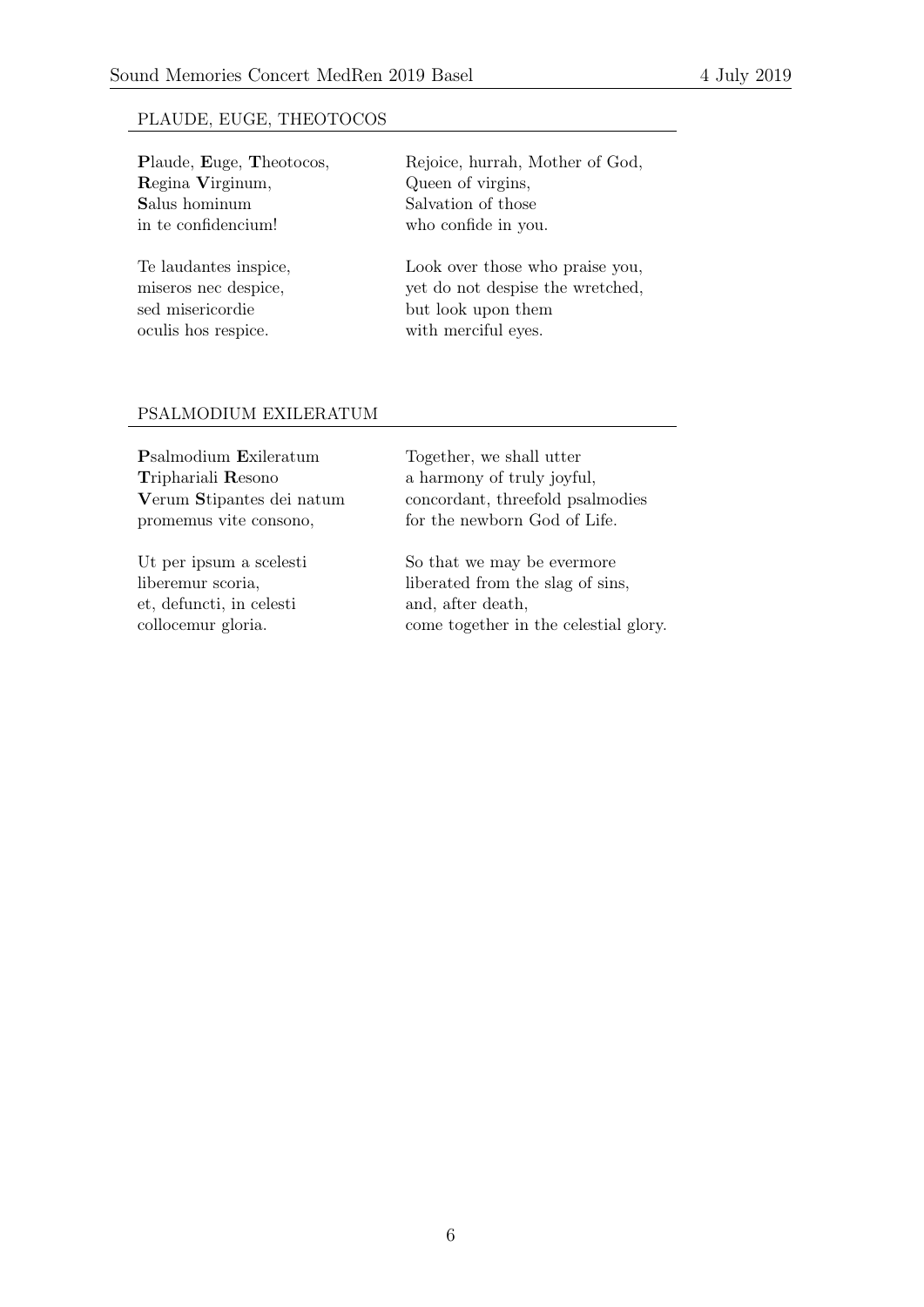## PLAUDE, EUGE, THEOTOCOS

Regina Virginum, Queen of virgins, Salus hominum Salvation of those in te confidencium! who confide in you.

sed misericordie but look upon them oculis hos respice. with merciful eyes.

Plaude, Euge, Theotocos, Rejoice, hurrah, Mother of God,

Te laudantes inspice, Look over those who praise you, miseros nec despice,  $\psi$  vet do not despise the wretched,

#### PSALMODIUM EXILERATUM

Psalmodium Exileratum Together, we shall utter Triphariali Resono a harmony of truly joyful,

et, defuncti, in celesti and, after death,

Verum Stipantes dei natum concordant, threefold psalmodies promemus vite consono, for the newborn God of Life.

Ut per ipsum a scelesti So that we may be evermore liberemur scoria, liberated from the slag of sins, collocemur gloria. come together in the celestial glory.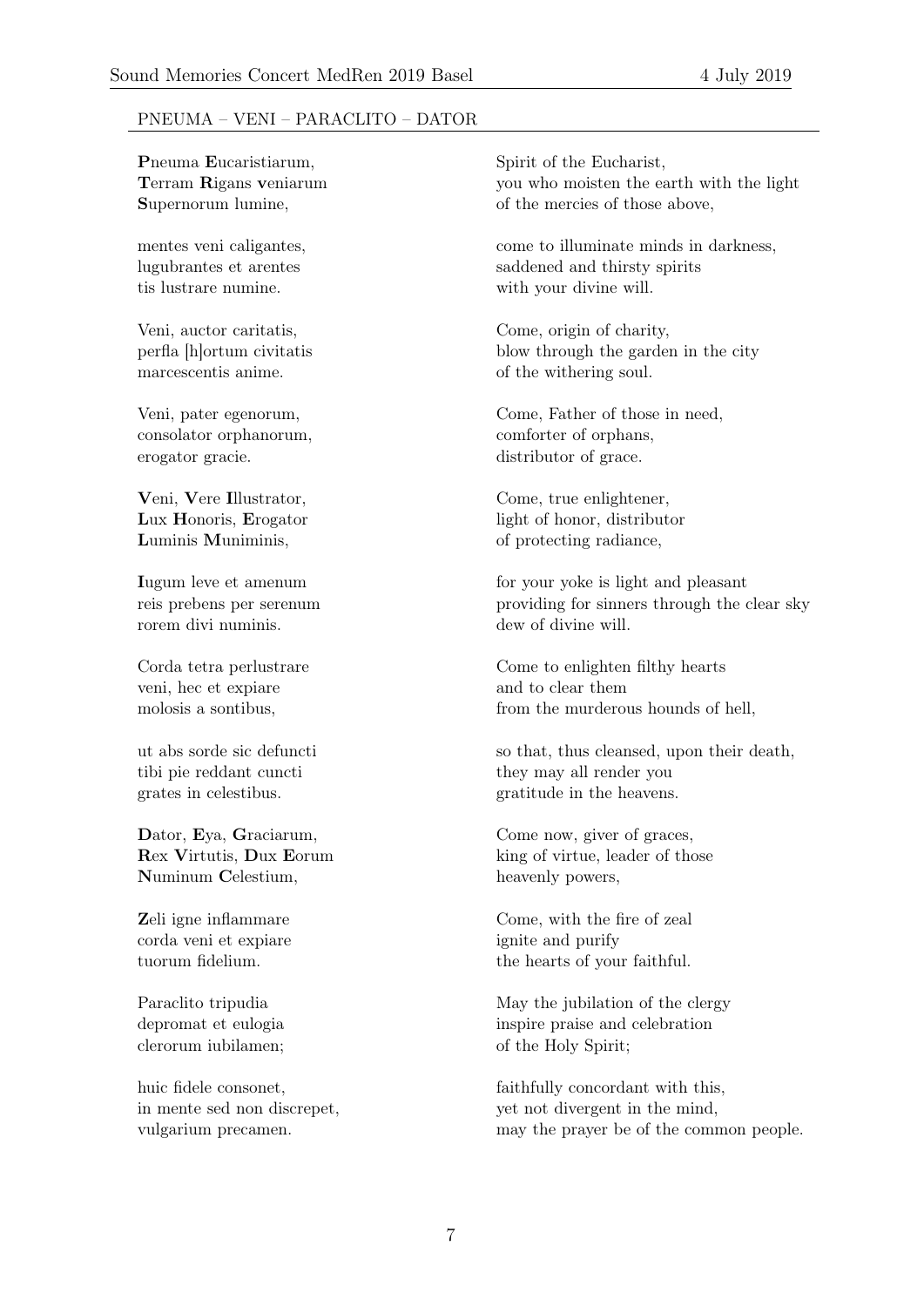## PNEUMA – VENI – PARACLITO – DATOR

**P**neuma Eucaristiarum, Spirit of the Eucharist,

tis lustrare numine. with your divine will.

marcescentis anime.  $\qquad \qquad$  of the withering soul.

consolator orphanorum, comforter of orphans, erogator gracie. distributor of grace.

Veni, Vere Illustrator, Come, true enlightener, Luminis Muniminis,  $\delta$  of protecting radiance,

rorem divi numinis. The same dew of divine will.

veni, hec et expiare and to clear them

tibi pie reddant cuncti they may all render you

Numinum Celestium, heavenly powers,

corda veni et expiare ignite and purify

clerorum iubilamen; of the Holy Spirit;

Terram Rigans veniarum you who moisten the earth with the light Supernorum lumine,  $\qquad \qquad$  of the mercies of those above,

mentes veni caligantes, come to illuminate minds in darkness, lugubrantes et arentes saddened and thirsty spirits

Veni, auctor caritatis, Come, origin of charity, perfla [h]ortum civitatis blow through the garden in the city

Veni, pater egenorum, Come, Father of those in need,

Lux Honoris, Erogator light of honor, distributor

Iugum leve et amenum for your yoke is light and pleasant reis prebens per serenum providing for sinners through the clear sky

Corda tetra perlustrare Come to enlighten filthy hearts molosis a sontibus, from the murderous hounds of hell,

ut abs sorde sic defuncti so that, thus cleansed, upon their death, grates in celestibus. The series of the heavens.

Dator, Eya, Graciarum, Come now, giver of graces, Rex Virtutis, Dux Eorum king of virtue, leader of those

**Z**eli igne inflammare Come, with the fire of zeal tuorum fidelium. the hearts of your faithful.

Paraclito tripudia May the jubilation of the clergy depromat et eulogia inspire praise and celebration

huic fidele consonet, faithfully concordant with this, in mente sed non discrepet, yet not divergent in the mind, vulgarium precamen. may the prayer be of the common people.